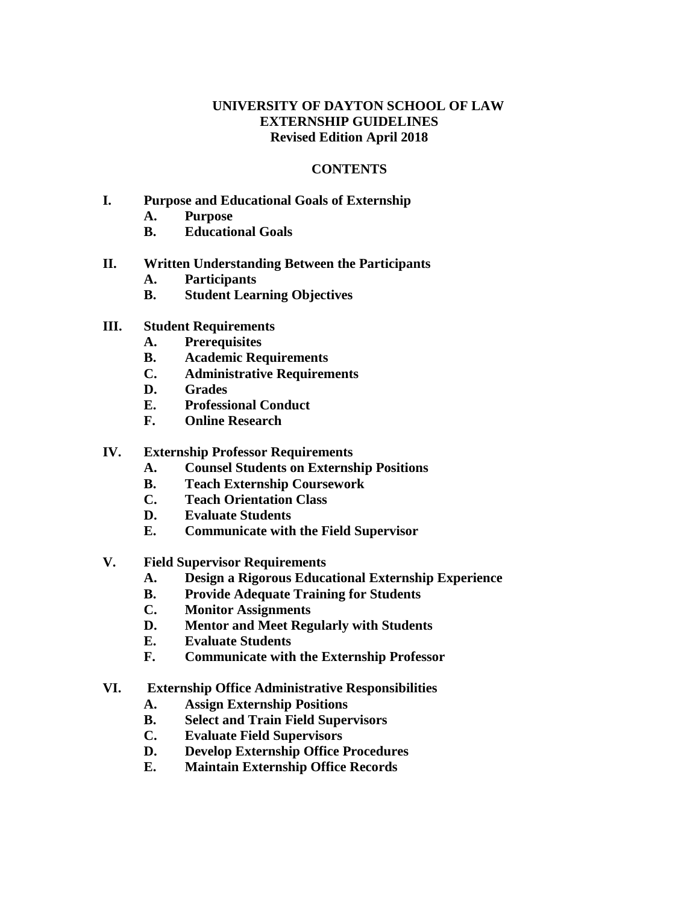## **UNIVERSITY OF DAYTON SCHOOL OF LAW EXTERNSHIP GUIDELINES Revised Edition April 2018**

#### **CONTENTS**

- **I. Purpose and Educational Goals of Externship**
	- **A. Purpose**
	- **B. Educational Goals**
- **II. Written Understanding Between the Participants**
	- **A. Participants**
	- **B. Student Learning Objectives**
- **III. Student Requirements**
	- **A. Prerequisites**
	- **B. Academic Requirements**
	- **C. Administrative Requirements**
	- **D. Grades**
	- **E. Professional Conduct**
	- **F. Online Research**
- **IV. Externship Professor Requirements**
	- **A. Counsel Students on Externship Positions**
	- **B. Teach Externship Coursework**
	- **C. Teach Orientation Class**
	- **D. Evaluate Students**
	- **E. Communicate with the Field Supervisor**
- **V. Field Supervisor Requirements**
	- **A. Design a Rigorous Educational Externship Experience**
	- **B. Provide Adequate Training for Students**
	- **C. Monitor Assignments**
	- **D. Mentor and Meet Regularly with Students**
	- **E. Evaluate Students**
	- **F. Communicate with the Externship Professor**
- **VI. Externship Office Administrative Responsibilities**
	- **A. Assign Externship Positions**
	- **B. Select and Train Field Supervisors**
	- **C. Evaluate Field Supervisors**
	- **D. Develop Externship Office Procedures**
	- **E. Maintain Externship Office Records**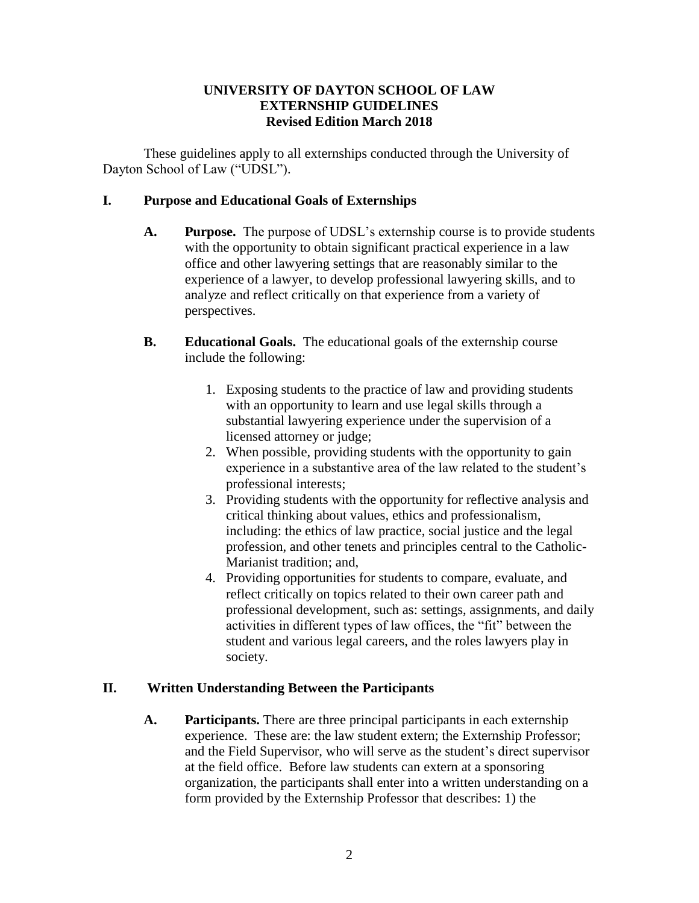## **UNIVERSITY OF DAYTON SCHOOL OF LAW EXTERNSHIP GUIDELINES Revised Edition March 2018**

These guidelines apply to all externships conducted through the University of Dayton School of Law ("UDSL").

## **I. Purpose and Educational Goals of Externships**

- **A. Purpose.** The purpose of UDSL's externship course is to provide students with the opportunity to obtain significant practical experience in a law office and other lawyering settings that are reasonably similar to the experience of a lawyer, to develop professional lawyering skills, and to analyze and reflect critically on that experience from a variety of perspectives.
- **B. Educational Goals.** The educational goals of the externship course include the following:
	- 1. Exposing students to the practice of law and providing students with an opportunity to learn and use legal skills through a substantial lawyering experience under the supervision of a licensed attorney or judge;
	- 2. When possible, providing students with the opportunity to gain experience in a substantive area of the law related to the student's professional interests;
	- 3. Providing students with the opportunity for reflective analysis and critical thinking about values, ethics and professionalism, including: the ethics of law practice, social justice and the legal profession, and other tenets and principles central to the Catholic-Marianist tradition; and,
	- 4. Providing opportunities for students to compare, evaluate, and reflect critically on topics related to their own career path and professional development, such as: settings, assignments, and daily activities in different types of law offices, the "fit" between the student and various legal careers, and the roles lawyers play in society.

# **II. Written Understanding Between the Participants**

**A. Participants.** There are three principal participants in each externship experience. These are: the law student extern; the Externship Professor; and the Field Supervisor, who will serve as the student's direct supervisor at the field office. Before law students can extern at a sponsoring organization, the participants shall enter into a written understanding on a form provided by the Externship Professor that describes: 1) the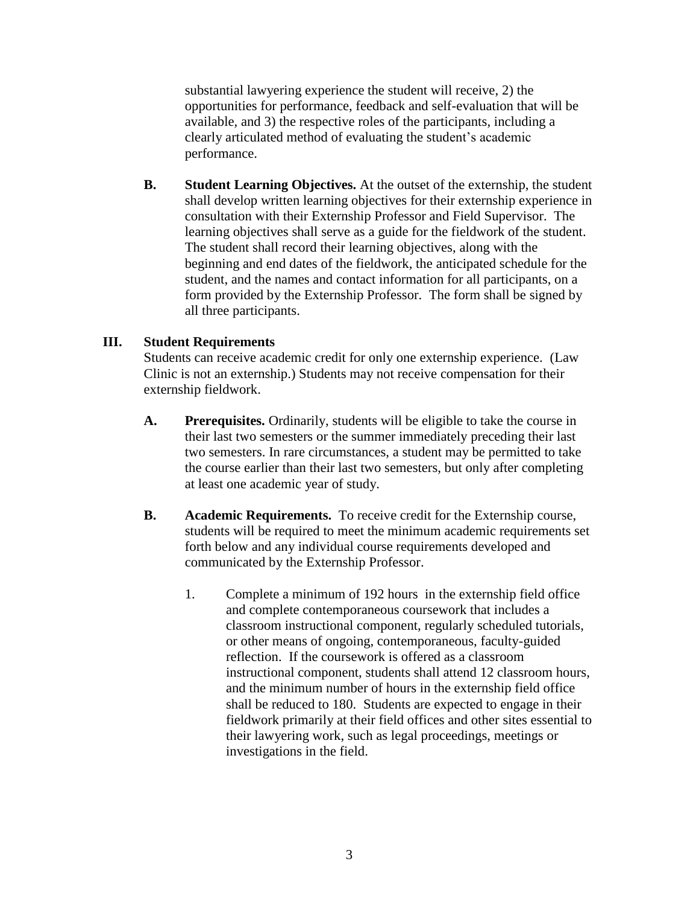substantial lawyering experience the student will receive, 2) the opportunities for performance, feedback and self-evaluation that will be available, and 3) the respective roles of the participants, including a clearly articulated method of evaluating the student's academic performance.

**B. Student Learning Objectives.** At the outset of the externship, the student shall develop written learning objectives for their externship experience in consultation with their Externship Professor and Field Supervisor. The learning objectives shall serve as a guide for the fieldwork of the student. The student shall record their learning objectives, along with the beginning and end dates of the fieldwork, the anticipated schedule for the student, and the names and contact information for all participants, on a form provided by the Externship Professor. The form shall be signed by all three participants.

#### **III. Student Requirements**

Students can receive academic credit for only one externship experience. (Law Clinic is not an externship.) Students may not receive compensation for their externship fieldwork.

- **A. Prerequisites.** Ordinarily, students will be eligible to take the course in their last two semesters or the summer immediately preceding their last two semesters. In rare circumstances, a student may be permitted to take the course earlier than their last two semesters, but only after completing at least one academic year of study.
- **B. Academic Requirements.** To receive credit for the Externship course, students will be required to meet the minimum academic requirements set forth below and any individual course requirements developed and communicated by the Externship Professor.
	- 1. Complete a minimum of 192 hours in the externship field office and complete contemporaneous coursework that includes a classroom instructional component, regularly scheduled tutorials, or other means of ongoing, contemporaneous, faculty-guided reflection. If the coursework is offered as a classroom instructional component, students shall attend 12 classroom hours, and the minimum number of hours in the externship field office shall be reduced to 180. Students are expected to engage in their fieldwork primarily at their field offices and other sites essential to their lawyering work, such as legal proceedings, meetings or investigations in the field.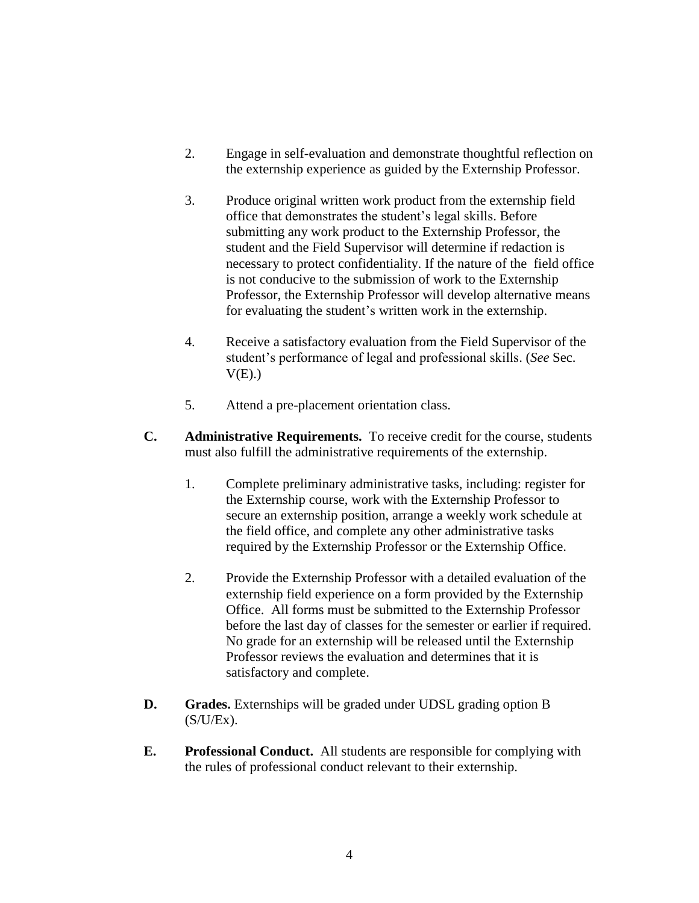- 2. Engage in self-evaluation and demonstrate thoughtful reflection on the externship experience as guided by the Externship Professor.
- 3. Produce original written work product from the externship field office that demonstrates the student's legal skills. Before submitting any work product to the Externship Professor, the student and the Field Supervisor will determine if redaction is necessary to protect confidentiality. If the nature of the field office is not conducive to the submission of work to the Externship Professor, the Externship Professor will develop alternative means for evaluating the student's written work in the externship.
- 4. Receive a satisfactory evaluation from the Field Supervisor of the student's performance of legal and professional skills. (*See* Sec.  $V(E)$ .)
- 5. Attend a pre-placement orientation class.
- **C. Administrative Requirements.** To receive credit for the course, students must also fulfill the administrative requirements of the externship.
	- 1. Complete preliminary administrative tasks, including: register for the Externship course, work with the Externship Professor to secure an externship position, arrange a weekly work schedule at the field office, and complete any other administrative tasks required by the Externship Professor or the Externship Office.
	- 2. Provide the Externship Professor with a detailed evaluation of the externship field experience on a form provided by the Externship Office. All forms must be submitted to the Externship Professor before the last day of classes for the semester or earlier if required. No grade for an externship will be released until the Externship Professor reviews the evaluation and determines that it is satisfactory and complete.
- **D. Grades.** Externships will be graded under UDSL grading option B  $(S/U/Ex)$ .
- **E. Professional Conduct.** All students are responsible for complying with the rules of professional conduct relevant to their externship.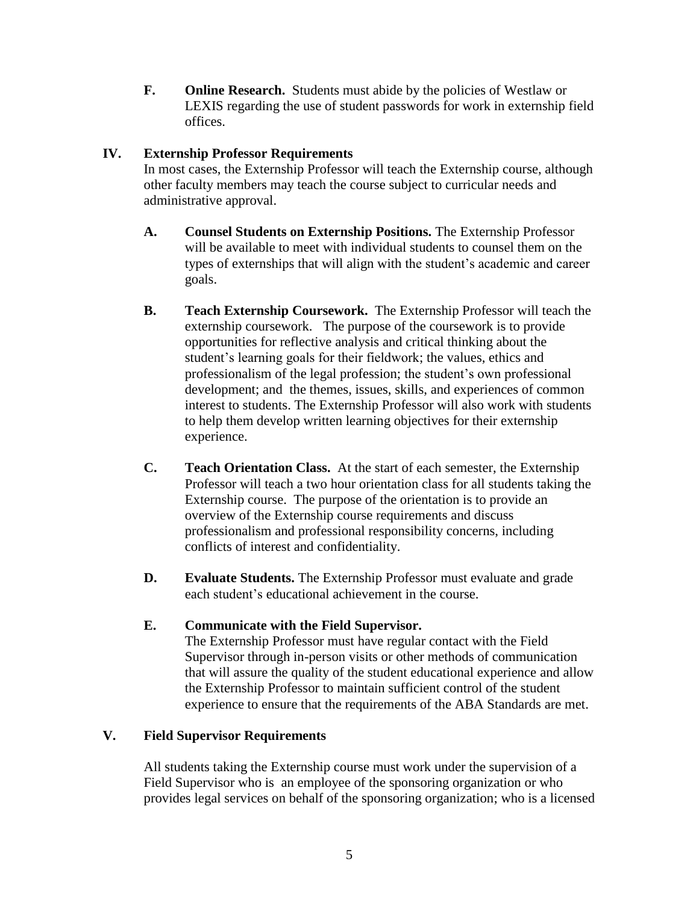**F. Online Research.** Students must abide by the policies of Westlaw or LEXIS regarding the use of student passwords for work in externship field offices.

### **IV. Externship Professor Requirements**

In most cases, the Externship Professor will teach the Externship course, although other faculty members may teach the course subject to curricular needs and administrative approval.

- **A. Counsel Students on Externship Positions.** The Externship Professor will be available to meet with individual students to counsel them on the types of externships that will align with the student's academic and career goals.
- **B. Teach Externship Coursework.** The Externship Professor will teach the externship coursework. The purpose of the coursework is to provide opportunities for reflective analysis and critical thinking about the student's learning goals for their fieldwork; the values, ethics and professionalism of the legal profession; the student's own professional development; and the themes, issues, skills, and experiences of common interest to students. The Externship Professor will also work with students to help them develop written learning objectives for their externship experience.
- **C. Teach Orientation Class.** At the start of each semester, the Externship Professor will teach a two hour orientation class for all students taking the Externship course. The purpose of the orientation is to provide an overview of the Externship course requirements and discuss professionalism and professional responsibility concerns, including conflicts of interest and confidentiality.
- **D. Evaluate Students.** The Externship Professor must evaluate and grade each student's educational achievement in the course.

# **E. Communicate with the Field Supervisor.**

The Externship Professor must have regular contact with the Field Supervisor through in-person visits or other methods of communication that will assure the quality of the student educational experience and allow the Externship Professor to maintain sufficient control of the student experience to ensure that the requirements of the ABA Standards are met.

# **V. Field Supervisor Requirements**

All students taking the Externship course must work under the supervision of a Field Supervisor who is an employee of the sponsoring organization or who provides legal services on behalf of the sponsoring organization; who is a licensed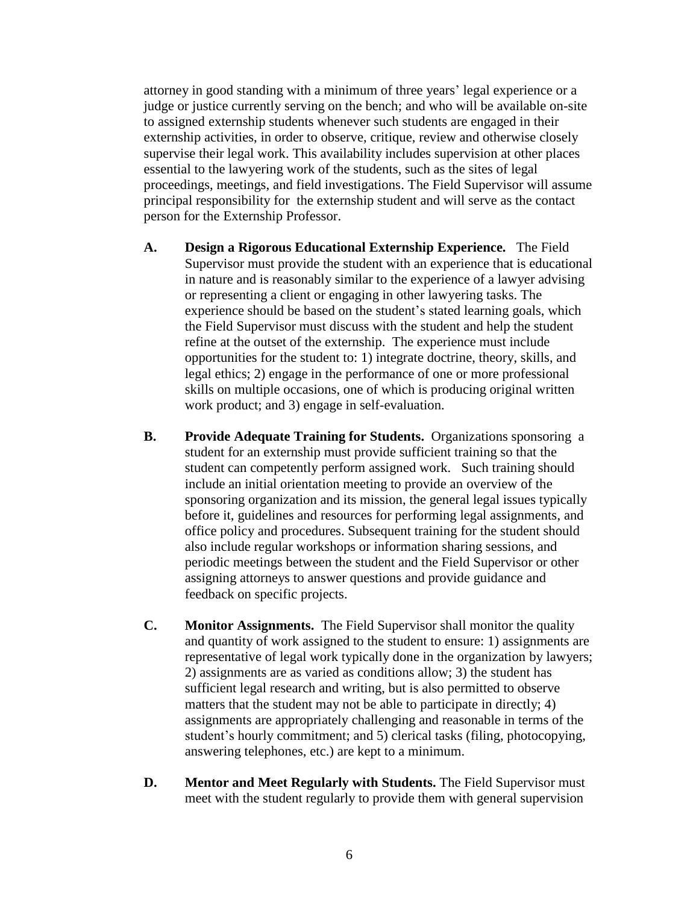attorney in good standing with a minimum of three years' legal experience or a judge or justice currently serving on the bench; and who will be available on-site to assigned externship students whenever such students are engaged in their externship activities, in order to observe, critique, review and otherwise closely supervise their legal work. This availability includes supervision at other places essential to the lawyering work of the students, such as the sites of legal proceedings, meetings, and field investigations. The Field Supervisor will assume principal responsibility for the externship student and will serve as the contact person for the Externship Professor.

- **A. Design a Rigorous Educational Externship Experience.** The Field Supervisor must provide the student with an experience that is educational in nature and is reasonably similar to the experience of a lawyer advising or representing a client or engaging in other lawyering tasks. The experience should be based on the student's stated learning goals, which the Field Supervisor must discuss with the student and help the student refine at the outset of the externship. The experience must include opportunities for the student to: 1) integrate doctrine, theory, skills, and legal ethics; 2) engage in the performance of one or more professional skills on multiple occasions, one of which is producing original written work product; and 3) engage in self-evaluation.
- **B. Provide Adequate Training for Students.** Organizations sponsoring a student for an externship must provide sufficient training so that the student can competently perform assigned work. Such training should include an initial orientation meeting to provide an overview of the sponsoring organization and its mission, the general legal issues typically before it, guidelines and resources for performing legal assignments, and office policy and procedures. Subsequent training for the student should also include regular workshops or information sharing sessions, and periodic meetings between the student and the Field Supervisor or other assigning attorneys to answer questions and provide guidance and feedback on specific projects.
- **C. Monitor Assignments.** The Field Supervisor shall monitor the quality and quantity of work assigned to the student to ensure: 1) assignments are representative of legal work typically done in the organization by lawyers; 2) assignments are as varied as conditions allow; 3) the student has sufficient legal research and writing, but is also permitted to observe matters that the student may not be able to participate in directly; 4) assignments are appropriately challenging and reasonable in terms of the student's hourly commitment; and 5) clerical tasks (filing, photocopying, answering telephones, etc.) are kept to a minimum.
- **D. Mentor and Meet Regularly with Students.** The Field Supervisor must meet with the student regularly to provide them with general supervision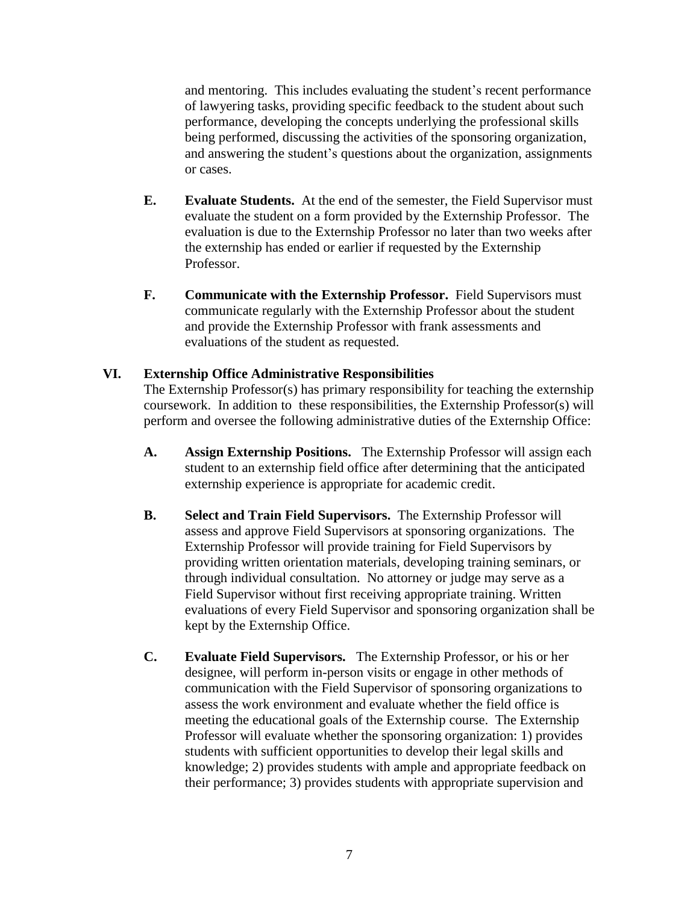and mentoring. This includes evaluating the student's recent performance of lawyering tasks, providing specific feedback to the student about such performance, developing the concepts underlying the professional skills being performed, discussing the activities of the sponsoring organization, and answering the student's questions about the organization, assignments or cases.

- **E. Evaluate Students.** At the end of the semester, the Field Supervisor must evaluate the student on a form provided by the Externship Professor. The evaluation is due to the Externship Professor no later than two weeks after the externship has ended or earlier if requested by the Externship Professor.
- **F. Communicate with the Externship Professor.** Field Supervisors must communicate regularly with the Externship Professor about the student and provide the Externship Professor with frank assessments and evaluations of the student as requested.

### **VI. Externship Office Administrative Responsibilities**

The Externship Professor(s) has primary responsibility for teaching the externship coursework. In addition to these responsibilities, the Externship Professor(s) will perform and oversee the following administrative duties of the Externship Office:

- **A. Assign Externship Positions.** The Externship Professor will assign each student to an externship field office after determining that the anticipated externship experience is appropriate for academic credit.
- **B. Select and Train Field Supervisors.** The Externship Professor will assess and approve Field Supervisors at sponsoring organizations. The Externship Professor will provide training for Field Supervisors by providing written orientation materials, developing training seminars, or through individual consultation. No attorney or judge may serve as a Field Supervisor without first receiving appropriate training. Written evaluations of every Field Supervisor and sponsoring organization shall be kept by the Externship Office.
- **C. Evaluate Field Supervisors.** The Externship Professor, or his or her designee, will perform in-person visits or engage in other methods of communication with the Field Supervisor of sponsoring organizations to assess the work environment and evaluate whether the field office is meeting the educational goals of the Externship course. The Externship Professor will evaluate whether the sponsoring organization: 1) provides students with sufficient opportunities to develop their legal skills and knowledge; 2) provides students with ample and appropriate feedback on their performance; 3) provides students with appropriate supervision and